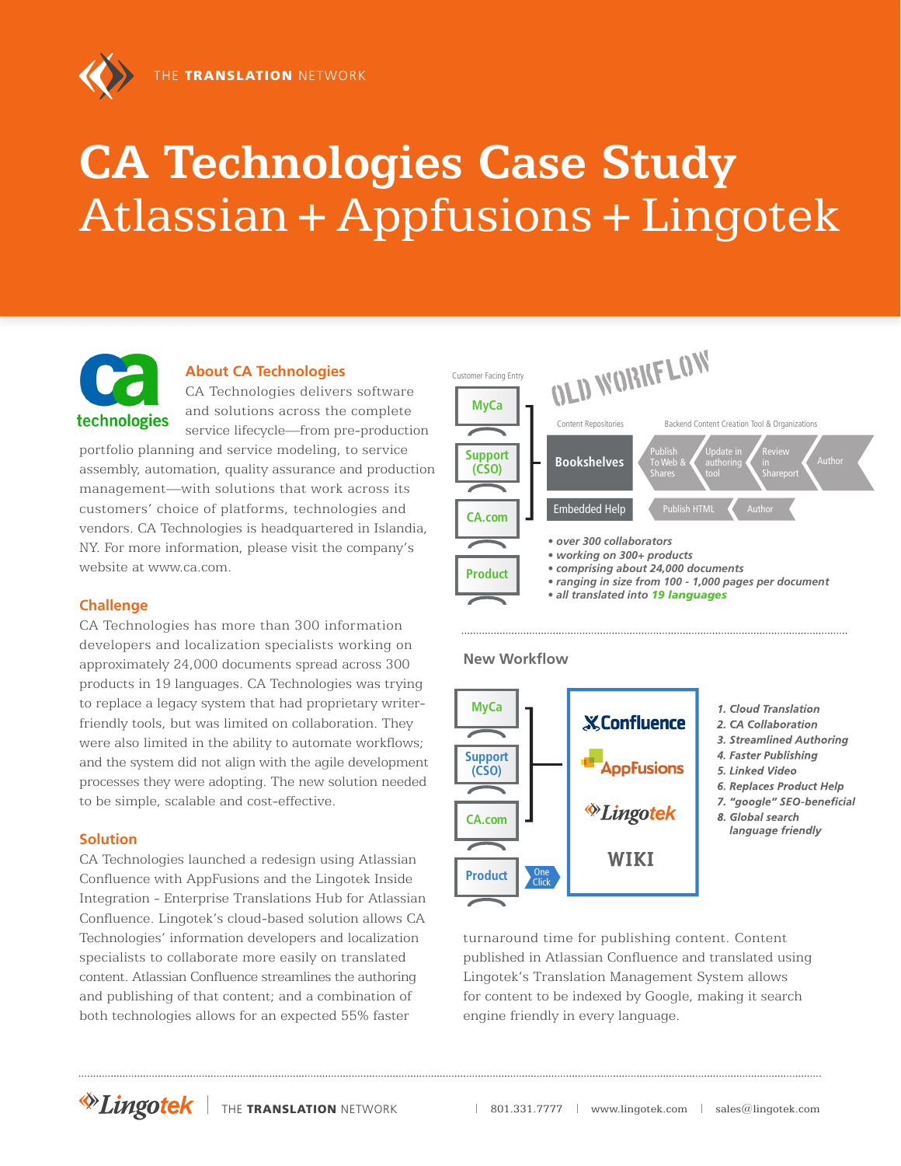

# **CA Technologies Case Study** Atlassian **+** Appfusions **+** Lingotek

technologies

**About CA Technologies** CA Technologies delivers software and solutions across the complete service lifecycle—from pre-production

portfolio planning and service modeling, to service assembly, automation, quality assurance and production management—with solutions that work across its customers' choice of platforms, technologies and vendors. CA Technologies is headquartered in Islandia, NY. For more information, please visit the company's website at www.ca.com.

### **Challenge**

CA Technologies has more than 300 information developers and localization specialists working on approximately 24,000 documents spread across 300 products in 19 languages. CA Technologies was trying to replace a legacy system that had proprietary writerfriendly tools, but was limited on collaboration. They were also limited in the ability to automate workflows; and the system did not align with the agile development processes they were adopting. The new solution needed to be simple, scalable and cost-effective.

### **Solution**

CA Technologies launched a redesign using Atlassian Confluence with AppFusions and the Lingotek Inside Integration - Enterprise Translations Hub for Atlassian Confluence. Lingotek's cloud-based solution allows CA Technologies' information developers and localization specialists to collaborate more easily on translated content. Atlassian Confluence streamlines the authoring and publishing of that content; and a combination of both technologies allows for an expected 55% faster



#### **New Workflow**



turnaround time for publishing content. Content published in Atlassian Confluence and translated using Lingotek's Translation Management System allows for content to be indexed by Google, making it search engine friendly in every language.